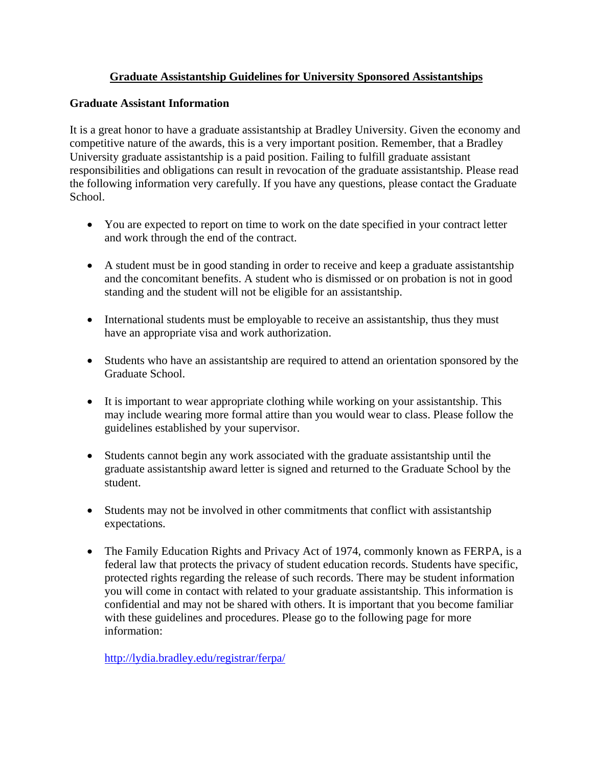## **Graduate Assistantship Guidelines for University Sponsored Assistantships**

### **Graduate Assistant Information**

It is a great honor to have a graduate assistantship at Bradley University. Given the economy and competitive nature of the awards, this is a very important position. Remember, that a Bradley University graduate assistantship is a paid position. Failing to fulfill graduate assistant responsibilities and obligations can result in revocation of the graduate assistantship. Please read the following information very carefully. If you have any questions, please contact the Graduate School.

- You are expected to report on time to work on the date specified in your contract letter and work through the end of the contract.
- A student must be in good standing in order to receive and keep a graduate assistantship and the concomitant benefits. A student who is dismissed or on probation is not in good standing and the student will not be eligible for an assistantship.
- International students must be employable to receive an assistantship, thus they must have an appropriate visa and work authorization.
- Students who have an assistantship are required to attend an orientation sponsored by the Graduate School.
- It is important to wear appropriate clothing while working on your assistantship. This may include wearing more formal attire than you would wear to class. Please follow the guidelines established by your supervisor.
- Students cannot begin any work associated with the graduate assistantship until the graduate assistantship award letter is signed and returned to the Graduate School by the student.
- Students may not be involved in other commitments that conflict with assistantship expectations.
- The Family Education Rights and Privacy Act of 1974, commonly known as FERPA, is a federal law that protects the privacy of student education records. Students have specific, protected rights regarding the release of such records. There may be student information you will come in contact with related to your graduate assistantship. This information is confidential and may not be shared with others. It is important that you become familiar with these guidelines and procedures. Please go to the following page for more information:

http://lydia.bradley.edu/registrar/ferpa/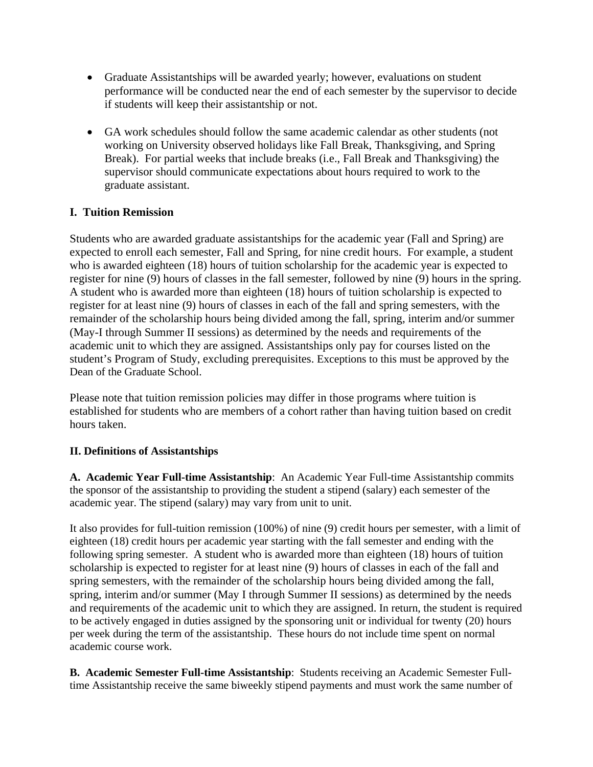- Graduate Assistantships will be awarded yearly; however, evaluations on student performance will be conducted near the end of each semester by the supervisor to decide if students will keep their assistantship or not.
- GA work schedules should follow the same academic calendar as other students (not working on University observed holidays like Fall Break, Thanksgiving, and Spring Break). For partial weeks that include breaks (i.e., Fall Break and Thanksgiving) the supervisor should communicate expectations about hours required to work to the graduate assistant.

### **I. Tuition Remission**

Students who are awarded graduate assistantships for the academic year (Fall and Spring) are expected to enroll each semester, Fall and Spring, for nine credit hours. For example, a student who is awarded eighteen (18) hours of tuition scholarship for the academic year is expected to register for nine (9) hours of classes in the fall semester, followed by nine (9) hours in the spring. A student who is awarded more than eighteen (18) hours of tuition scholarship is expected to register for at least nine (9) hours of classes in each of the fall and spring semesters, with the remainder of the scholarship hours being divided among the fall, spring, interim and/or summer (May-I through Summer II sessions) as determined by the needs and requirements of the academic unit to which they are assigned. Assistantships only pay for courses listed on the student's Program of Study, excluding prerequisites. Exceptions to this must be approved by the Dean of the Graduate School.

Please note that tuition remission policies may differ in those programs where tuition is established for students who are members of a cohort rather than having tuition based on credit hours taken.

#### **II. Definitions of Assistantships**

**A. Academic Year Full-time Assistantship**: An Academic Year Full-time Assistantship commits the sponsor of the assistantship to providing the student a stipend (salary) each semester of the academic year. The stipend (salary) may vary from unit to unit.

It also provides for full-tuition remission (100%) of nine (9) credit hours per semester, with a limit of eighteen (18) credit hours per academic year starting with the fall semester and ending with the following spring semester. A student who is awarded more than eighteen (18) hours of tuition scholarship is expected to register for at least nine (9) hours of classes in each of the fall and spring semesters, with the remainder of the scholarship hours being divided among the fall, spring, interim and/or summer (May I through Summer II sessions) as determined by the needs and requirements of the academic unit to which they are assigned. In return, the student is required to be actively engaged in duties assigned by the sponsoring unit or individual for twenty (20) hours per week during the term of the assistantship. These hours do not include time spent on normal academic course work.

**B. Academic Semester Full-time Assistantship**: Students receiving an Academic Semester Fulltime Assistantship receive the same biweekly stipend payments and must work the same number of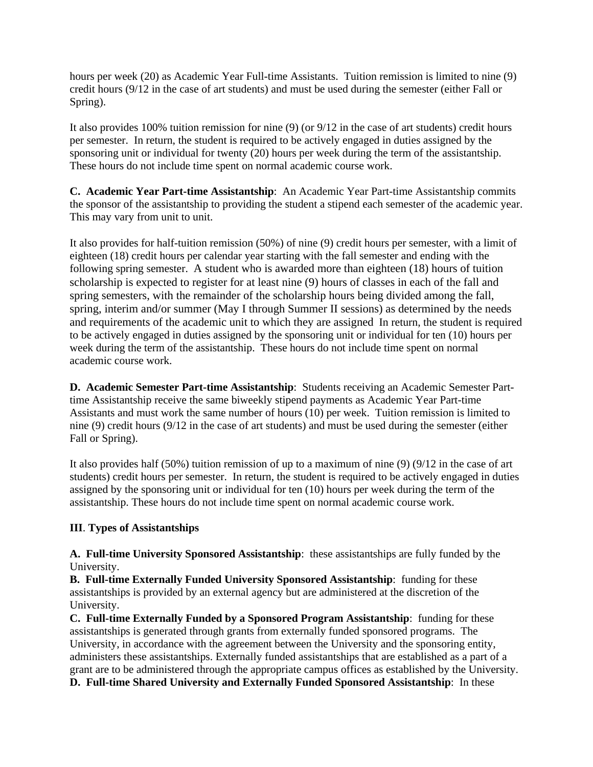hours per week (20) as Academic Year Full-time Assistants. Tuition remission is limited to nine (9) credit hours (9/12 in the case of art students) and must be used during the semester (either Fall or Spring).

It also provides 100% tuition remission for nine (9) (or 9/12 in the case of art students) credit hours per semester. In return, the student is required to be actively engaged in duties assigned by the sponsoring unit or individual for twenty (20) hours per week during the term of the assistantship. These hours do not include time spent on normal academic course work.

**C. Academic Year Part-time Assistantship**: An Academic Year Part-time Assistantship commits the sponsor of the assistantship to providing the student a stipend each semester of the academic year. This may vary from unit to unit.

It also provides for half-tuition remission (50%) of nine (9) credit hours per semester, with a limit of eighteen (18) credit hours per calendar year starting with the fall semester and ending with the following spring semester. A student who is awarded more than eighteen (18) hours of tuition scholarship is expected to register for at least nine (9) hours of classes in each of the fall and spring semesters, with the remainder of the scholarship hours being divided among the fall, spring, interim and/or summer (May I through Summer II sessions) as determined by the needs and requirements of the academic unit to which they are assigned In return, the student is required to be actively engaged in duties assigned by the sponsoring unit or individual for ten (10) hours per week during the term of the assistantship. These hours do not include time spent on normal academic course work.

**D. Academic Semester Part-time Assistantship**: Students receiving an Academic Semester Parttime Assistantship receive the same biweekly stipend payments as Academic Year Part-time Assistants and must work the same number of hours (10) per week. Tuition remission is limited to nine (9) credit hours (9/12 in the case of art students) and must be used during the semester (either Fall or Spring).

It also provides half (50%) tuition remission of up to a maximum of nine (9) (9/12 in the case of art students) credit hours per semester. In return, the student is required to be actively engaged in duties assigned by the sponsoring unit or individual for ten (10) hours per week during the term of the assistantship. These hours do not include time spent on normal academic course work.

### **III**. **Types of Assistantships**

**A. Full-time University Sponsored Assistantship**: these assistantships are fully funded by the University.

**B. Full-time Externally Funded University Sponsored Assistantship**: funding for these assistantships is provided by an external agency but are administered at the discretion of the University.

**C. Full-time Externally Funded by a Sponsored Program Assistantship**: funding for these assistantships is generated through grants from externally funded sponsored programs. The University, in accordance with the agreement between the University and the sponsoring entity, administers these assistantships. Externally funded assistantships that are established as a part of a grant are to be administered through the appropriate campus offices as established by the University. **D. Full-time Shared University and Externally Funded Sponsored Assistantship**: In these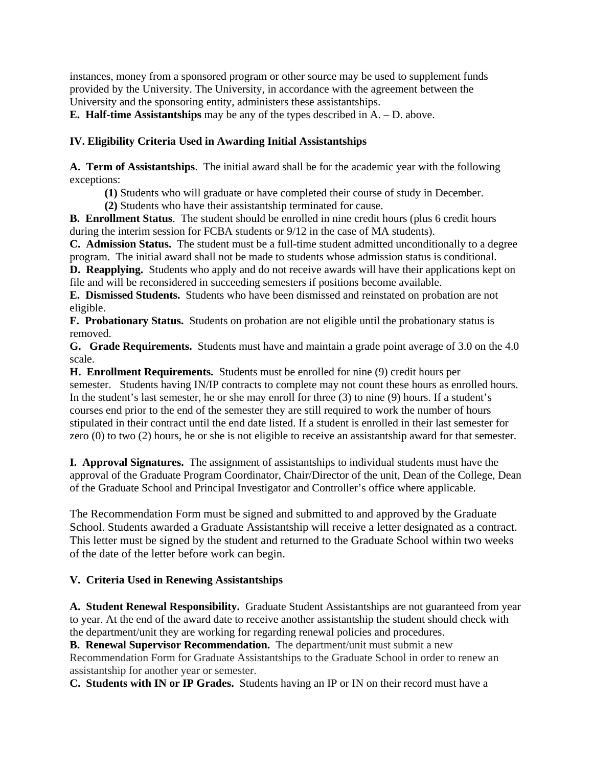instances, money from a sponsored program or other source may be used to supplement funds provided by the University. The University, in accordance with the agreement between the University and the sponsoring entity, administers these assistantships.

**E. Half-time Assistantships** may be any of the types described in A. – D. above.

### **IV. Eligibility Criteria Used in Awarding Initial Assistantships**

**A. Term of Assistantships**. The initial award shall be for the academic year with the following exceptions:

**(1)** Students who will graduate or have completed their course of study in December.

**(2)** Students who have their assistantship terminated for cause.

**B. Enrollment Status**. The student should be enrolled in nine credit hours (plus 6 credit hours during the interim session for FCBA students or 9/12 in the case of MA students).

**C. Admission Status.** The student must be a full-time student admitted unconditionally to a degree program. The initial award shall not be made to students whose admission status is conditional. **D. Reapplying.** Students who apply and do not receive awards will have their applications kept on

file and will be reconsidered in succeeding semesters if positions become available.

**E. Dismissed Students.** Students who have been dismissed and reinstated on probation are not eligible.

**F. Probationary Status.** Students on probation are not eligible until the probationary status is removed.

**G. Grade Requirements.** Students must have and maintain a grade point average of 3.0 on the 4.0 scale.

**H. Enrollment Requirements.** Students must be enrolled for nine (9) credit hours per semester. Students having IN/IP contracts to complete may not count these hours as enrolled hours. In the student's last semester, he or she may enroll for three (3) to nine (9) hours. If a student's courses end prior to the end of the semester they are still required to work the number of hours stipulated in their contract until the end date listed. If a student is enrolled in their last semester for zero (0) to two (2) hours, he or she is not eligible to receive an assistantship award for that semester.

**I. Approval Signatures.** The assignment of assistantships to individual students must have the approval of the Graduate Program Coordinator, Chair/Director of the unit, Dean of the College, Dean of the Graduate School and Principal Investigator and Controller's office where applicable.

The Recommendation Form must be signed and submitted to and approved by the Graduate School. Students awarded a Graduate Assistantship will receive a letter designated as a contract. This letter must be signed by the student and returned to the Graduate School within two weeks of the date of the letter before work can begin.

# **V. Criteria Used in Renewing Assistantships**

**A. Student Renewal Responsibility.** Graduate Student Assistantships are not guaranteed from year to year. At the end of the award date to receive another assistantship the student should check with the department/unit they are working for regarding renewal policies and procedures.

**B. Renewal Supervisor Recommendation.** The department/unit must submit a new Recommendation Form for Graduate Assistantships to the Graduate School in order to renew an assistantship for another year or semester.

**C. Students with IN or IP Grades.** Students having an IP or IN on their record must have a